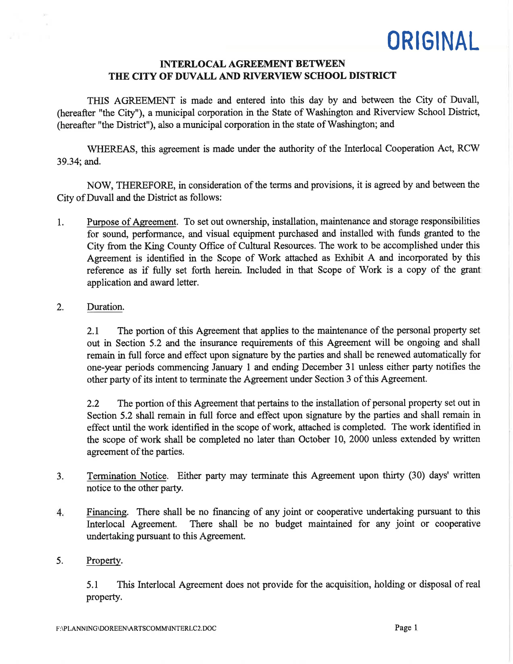## INTERLOCAL AGREEMENT BETWEEN THE CITY OF DUVALL AND RIVERVIEW SCHOOL DISTRICT

THIS AGREEMENT is made and entered into this day by and between the City of Duvall, (hereafter "the City"), a municipal corporation in the State of Washington and Riverview School District, (hereafter "the District"), also a municipal corporation in the state of Washington; and

WHEREAS, this agreement is made under the authority of the Interlocal Cooperation Act, RCW 39.34; and.

NOW, THEREFORE, in consideration of the terms and provisions, it is agreed by and between the City of Duvall and the District as follows:

1. Purpose of Agreement. To set out ownership, installation, maintenance and storage responsibilities for sound, performance, and visual equipment purchased and installed with funds granted to the City from the King County Office of Cultural Resources. The work to be accomplished under this Agreement is identified in the Scope of Work attached as Exhibit A and incorporated by this reference as if fully set forth herein. Included in that Scope of Work is a copy of the grant application and award letter.

### 2. Duration.

2.1 The portion of this Agreement that applies to the maintenance of the personal property set out in Section 5.2 and the insurance requirements of this Agreement will be ongoing and shall remain in full force and effect upon signature by the parties and shall be renewed automatically for one-year periods commencing January 1 and ending December 31 unless either party notifies the other party of its intent to terminate the Agreement under Section 3 of this Agreement.

2.2 The portion of this Agreement that pertains to the installation of personal property set out in Section 5.2 shall remain in full force and effect upon signature by the parties and shall remain in effect until the work identified in the scope of work, attached is completed. The work identified in the scope of work shall be completed no later than October 10, 2000 unless extended by written agreement of the parties.

- 3. Termination Notice. Either party may terminate this Agreement upon thirty (30) days' written notice to the other party.
- Financing. There shall be no financing of any joint or cooperative undertaking pursuant to this 4. Interlocal Agreement. There shall be no budget maintained for any joint or cooperative undertaking pursuant to this Agreement.

#### Propertv. 5.

5.1 This Interlocal Agreement does not provide for the acquisition, holding or disposal of real property.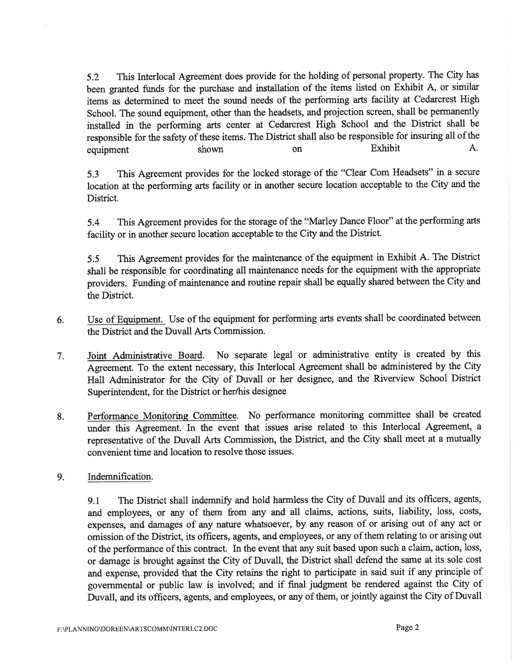5.2 This Interlocal Agreement does provide for the holding of personal property. The City has been granted funds for the purchase and installation of the items listed on Exhibit A, or similar items as determined to meet the sound needs of the performing arts facility at Cedarcrest High School. The sound equipment, other than the headsets, and projection screen, shall be permanently installed in the performing arts center at Cedarcrest High School and the District shall be responsible for the safety of these items. The District shall also be responsible for insuring all of the equipment shown on Exhibit A.

5.3 This Agreement provides for the locked storage of the "Clear Com Headsets" in a secure location at the performing arts facility or in another secure location acceptable to the City and the District.

5.4 This Agreement provides for the storage of the "Marley Dance Floor" at the performing arts facility or in another secure location acceptable to the City and the District.

5.5 This Agreement provides for the maintenance of the equipment in Exhibit A. The District shall be responsible for coordinating all maintenance needs for the equipment with the appropriate providers. Funding of maintenance and routine repair shall be equally shared between the City and the District.

- 6. Use of Equipment. Use of the equipment for performing arts events shall be coordinated between the District and the Duvall Arts Commission.
- 7. Joint Administrative Board. No separate legal or administrative entity is created by this Agreement. To the extent necessary, this Interlocal Agreement shall be administered by the City Hall Administrator for the City of Duvall or her designee, and the Riverview School District Superintendent, for the District or her/his designee
- Performance Monitoring Committee. No performance monitoring committee shall be created under this Agreement. In the event that issues arise related to this Interlocal Agreement, <sup>a</sup> representative of the Duvall Arts Commission, the District, and the City shall meet at a mutually convenient time and location to resolve those issues. 8.
- Indemnification. 9.

9.1 The District shall indemnify and hold harmless the City of Duvall and its officers, agents, and employees, or any of them from any and all claims, actions, suits, liability, loss, costs, expenses, and damages of any nature whatsoever, by any reason of or arising out of any act or omission of the District, its officers, agents, and employees, or any of them relating to or arising out of the performance of this contract. In the event that any suit based upon such a claim, action, loss, or damage is brought against the City of Duvall, the District shall defend the same at its sole cost and expense, provided that the City retains the right to participate in said suit if any principle of governmental or public law is involved; and if final judgment be rendered against the City of Duvall, and its officers, agents, and employees, or any of them, or jointly against the City of Duvall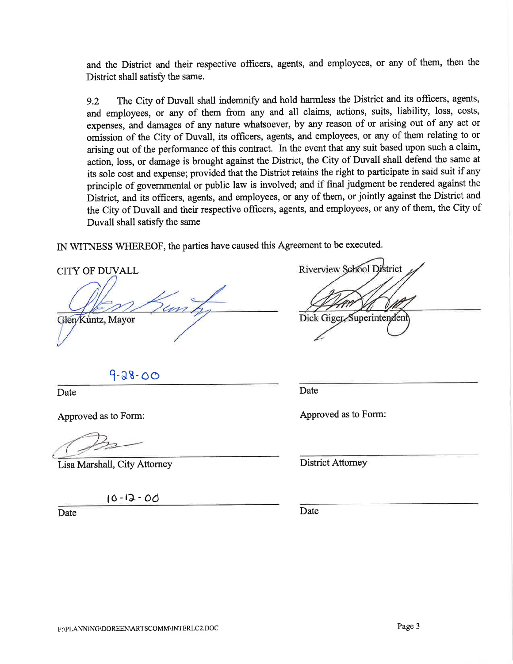and the District and their respective offrcers, agents, and employees, or any of them, then the District shall satisfy the same.

9.2 The City of Duvall shall indemnify and hold harmless the District and its officers, agents, and employees, or any of them from any and all claims, actions, suits, liability, loss, costs, expenses, and damages of any nature whatsoever, by any reason of or arising out of any act or omission of the City of Duvall, its offrcers, agents, and employees, or any of them relating to or arising out of the performance of this contract. In the event that any suit based upon such a claim, action, loss, or damage is brought against the District, the City of Duvall shall defend the same at its sole cost and expense; provided that the District retains the right to participate in said suit if any principle of governmental or public law is involved; and if final judgment be rendered against the District, and its officers, agents, and employees, or any of them, or jointly against the District and the City of Duvall and their respective officers, agents, and employees, or any of them, the City of Duvall shall satisfy the same

IN WITNESS WHEREOF, the parties have caused this Agreement to be executed.

CITY OF DWALL un Glen/Kuntz, Mayor

Riverview School District

Dick Giger Superintendent

 $9 - 38 - 00$ 

Date **Date** Date **Date** 

Lisa Marshall, City Attorney

l0-ta-od

Date Date Date

Approved as to Form: Approved as to Form:

District Attorney